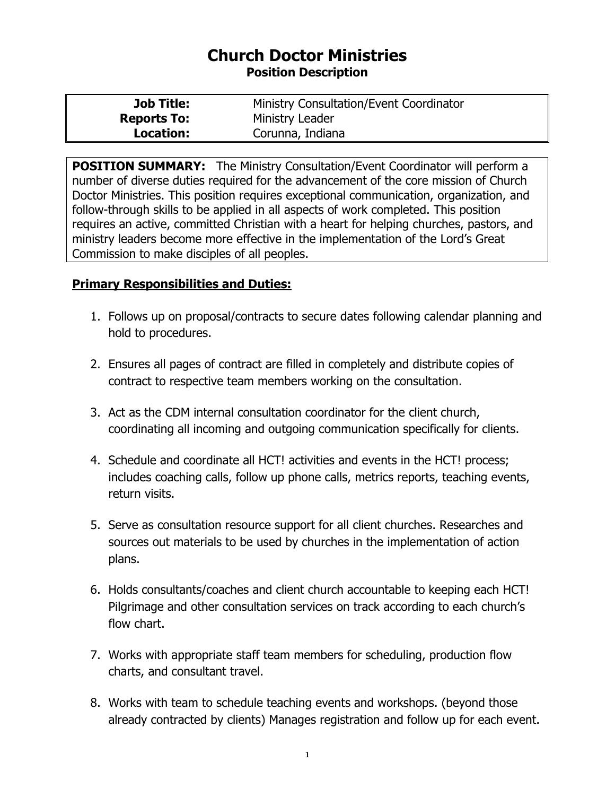## **Church Doctor Ministries Position Description**

| <b>Job Title:</b>  | Ministry Consultation/Event Coordinator |
|--------------------|-----------------------------------------|
| <b>Reports To:</b> | Ministry Leader                         |
| Location:          | Corunna, Indiana                        |

**POSITION SUMMARY:** The Ministry Consultation/Event Coordinator will perform a number of diverse duties required for the advancement of the core mission of Church Doctor Ministries. This position requires exceptional communication, organization, and follow-through skills to be applied in all aspects of work completed. This position requires an active, committed Christian with a heart for helping churches, pastors, and ministry leaders become more effective in the implementation of the Lord's Great Commission to make disciples of all peoples.

## **Primary Responsibilities and Duties:**

- 1. Follows up on proposal/contracts to secure dates following calendar planning and hold to procedures.
- 2. Ensures all pages of contract are filled in completely and distribute copies of contract to respective team members working on the consultation.
- 3. Act as the CDM internal consultation coordinator for the client church, coordinating all incoming and outgoing communication specifically for clients.
- 4. Schedule and coordinate all HCT! activities and events in the HCT! process; includes coaching calls, follow up phone calls, metrics reports, teaching events, return visits.
- 5. Serve as consultation resource support for all client churches. Researches and sources out materials to be used by churches in the implementation of action plans.
- 6. Holds consultants/coaches and client church accountable to keeping each HCT! Pilgrimage and other consultation services on track according to each church's flow chart.
- 7. Works with appropriate staff team members for scheduling, production flow charts, and consultant travel.
- 8. Works with team to schedule teaching events and workshops. (beyond those already contracted by clients) Manages registration and follow up for each event.